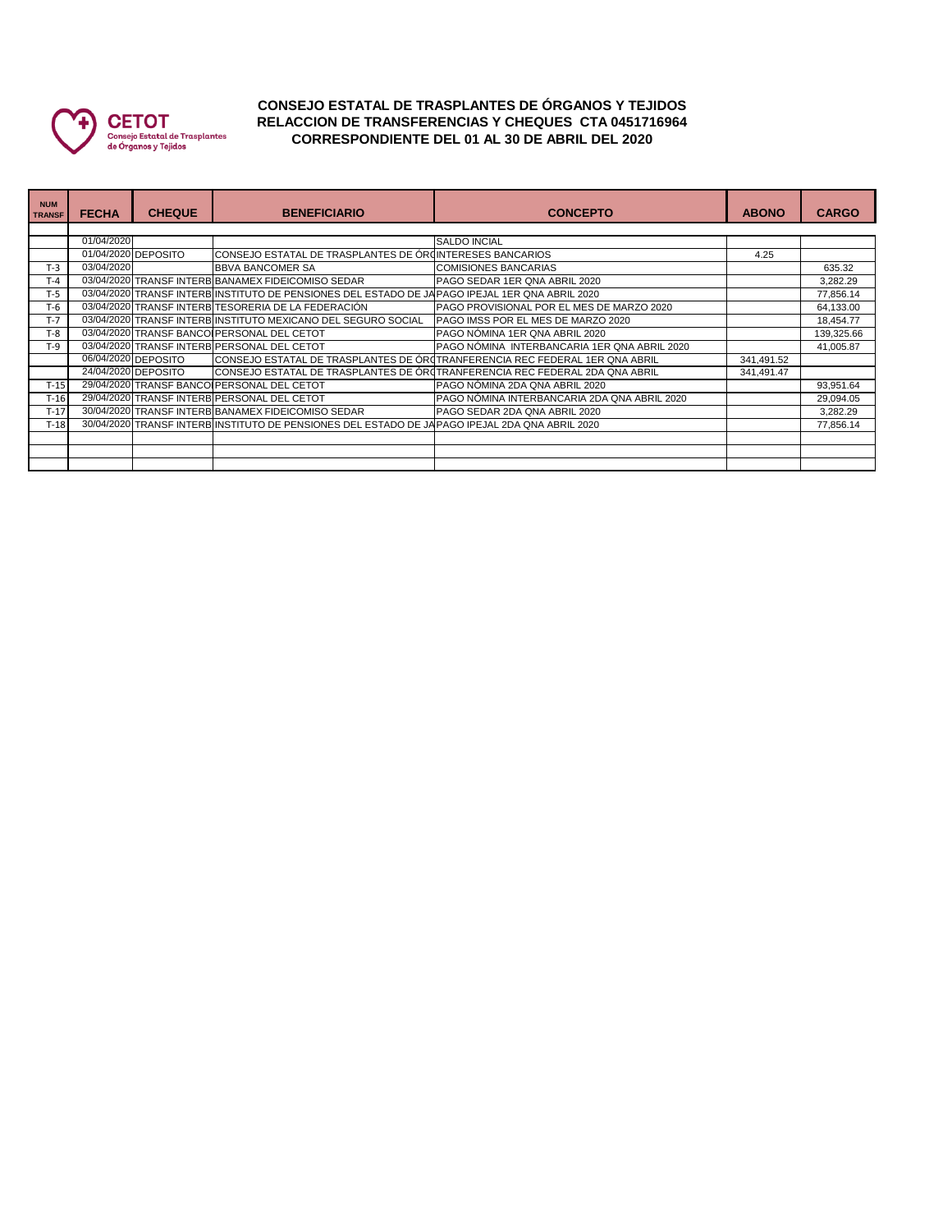

## **CONSEJO ESTATAL DE TRASPLANTES DE ÓRGANOS Y TEJIDOS RELACCION DE TRANSFERENCIAS Y CHEQUES CTA 0451716964 CORRESPONDIENTE DEL 01 AL 30 DE ABRIL DEL 2020**

| <b>NUM</b><br><b>TRANSF</b> | <b>FECHA</b> | <b>CHEQUE</b>       | <b>BENEFICIARIO</b>                                                                             | <b>CONCEPTO</b>                                                             | <b>ABONO</b> | <b>CARGO</b> |  |  |
|-----------------------------|--------------|---------------------|-------------------------------------------------------------------------------------------------|-----------------------------------------------------------------------------|--------------|--------------|--|--|
|                             |              |                     |                                                                                                 |                                                                             |              |              |  |  |
|                             | 01/04/2020   |                     |                                                                                                 | <b>SALDO INCIAL</b>                                                         |              |              |  |  |
|                             |              | 01/04/2020 DEPOSITO | CONSEJO ESTATAL DE TRASPLANTES DE ÓRUINTERESES BANCARIOS                                        |                                                                             | 4.25         |              |  |  |
| $T-3$                       | 03/04/2020   |                     | <b>BBVA BANCOMER SA</b>                                                                         | <b>COMISIONES BANCARIAS</b>                                                 |              | 635.32       |  |  |
| $T-4$                       |              |                     | 03/04/2020 TRANSF INTERB BANAMEX FIDEICOMISO SEDAR                                              | PAGO SEDAR 1ER QNA ABRIL 2020                                               |              | 3,282.29     |  |  |
| $T-5$                       |              |                     | 03/04/2020 TRANSF INTERB INSTITUTO DE PENSIONES DEL ESTADO DE JA PAGO IPEJAL 1ER QNA ABRIL 2020 |                                                                             |              | 77,856.14    |  |  |
| T-6                         |              |                     | 03/04/2020 TRANSF INTERB TESORERIA DE LA FEDERACIÓN                                             | <b>IPAGO PROVISIONAL POR EL MES DE MARZO 2020</b>                           |              | 64,133.00    |  |  |
| $T-7$                       |              |                     | 03/04/2020 TRANSF INTERB INSTITUTO MEXICANO DEL SEGURO SOCIAL                                   | PAGO IMSS POR EL MES DE MARZO 2020                                          |              | 18,454.77    |  |  |
| $T-8$                       |              |                     | 03/04/2020 TRANSF BANCO PERSONAL DEL CETOT                                                      | PAGO NÓMINA 1ER QNA ABRIL 2020                                              |              | 139,325.66   |  |  |
| $T-9$                       |              |                     | 03/04/2020 TRANSF INTERB PERSONAL DEL CETOT                                                     | PAGO NÓMINA INTERBANCARIA 1ER QNA ABRIL 2020                                |              | 41,005.87    |  |  |
|                             |              | 06/04/2020 DEPOSITO |                                                                                                 | CONSEJO ESTATAL DE TRASPLANTES DE OROTRANFERENCIA REC FEDERAL 1ER QNA ABRIL | 341,491.52   |              |  |  |
|                             |              | 24/04/2020 DEPOSITO |                                                                                                 | CONSEJO ESTATAL DE TRASPLANTES DE OROTRANFERENCIA REC FEDERAL 2DA QNA ABRIL | 341,491.47   |              |  |  |
| $T-15$                      |              |                     | 29/04/2020 TRANSF BANCOLPERSONAL DEL CETOT                                                      | PAGO NÓMINA 2DA QNA ABRIL 2020                                              |              | 93,951.64    |  |  |
| $T-16$                      |              |                     | 29/04/2020 TRANSF INTERB PERSONAL DEL CETOT                                                     | PAGO NÓMINA INTERBANCARIA 2DA QNA ABRIL 2020                                |              | 29,094.05    |  |  |
| $T-17$                      |              |                     | 30/04/2020 TRANSF INTERB BANAMEX FIDEICOMISO SEDAR                                              | PAGO SEDAR 2DA QNA ABRIL 2020                                               |              | 3,282.29     |  |  |
| $T-18$                      |              |                     | 30/04/2020 TRANSF INTERB INSTITUTO DE PENSIONES DEL ESTADO DE JAPAGO IPEJAL 2DA QNA ABRIL 2020  |                                                                             |              | 77,856.14    |  |  |
|                             |              |                     |                                                                                                 |                                                                             |              |              |  |  |
|                             |              |                     |                                                                                                 |                                                                             |              |              |  |  |
|                             |              |                     |                                                                                                 |                                                                             |              |              |  |  |